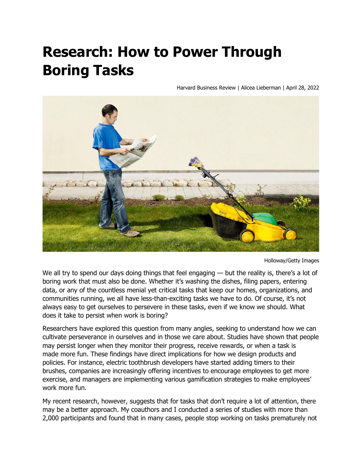## **Research: How to Power Through Boring Tasks**

Harvard Business Review | Alicea Lieberman | April 28, 2022



Holloway/Getty Images

We all try to spend our days doing things that feel engaging — but the reality is, there's a lot of boring work that must also be done. Whether it's washing the dishes, filing papers, entering data, or any of the countless menial yet critical tasks that keep our homes, organizations, and communities running, we all have less-than-exciting tasks we have to do. Of course, it's not always easy to get ourselves to persevere in these tasks, even if we know we should. What does it take to persist when work is boring?

Researchers have explored this question from many angles, seeking to understand how we can cultivate perseverance in ourselves and in those we care about. Studies have shown that people may persist longer when they monitor their progress, receive rewards, or when a task is made more fun. These findings have direct implications for how we design products and policies. For instance, electric toothbrush developers have started adding timers to their brushes, companies are increasingly offering incentives to encourage employees to get more exercise, and managers are implementing various gamification strategies to make employees' work more fun.

My recent research, however, suggests that for tasks that don't require a lot of attention, there may be a better approach. My coauthors and I conducted a series of studies with more than 2,000 participants and found that in many cases, people stop working on tasks prematurely not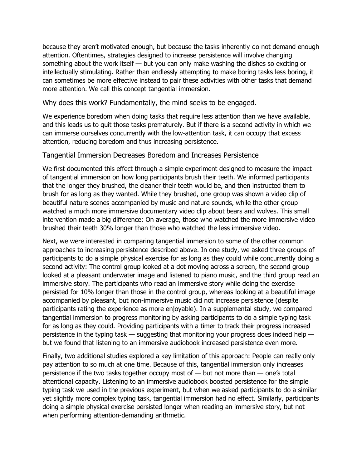because they aren't motivated enough, but because the tasks inherently do not demand enough attention. Oftentimes, strategies designed to increase persistence will involve changing something about the work itself — but you can only make washing the dishes so exciting or intellectually stimulating. Rather than endlessly attempting to make boring tasks less boring, it can sometimes be more effective instead to pair these activities with other tasks that demand more attention. We call this concept tangential immersion.

Why does this work? Fundamentally, the mind seeks to be engaged.

We experience boredom when doing tasks that require less attention than we have available, and this leads us to quit those tasks prematurely. But if there is a second activity in which we can immerse ourselves concurrently with the low-attention task, it can occupy that excess attention, reducing boredom and thus increasing persistence.

## Tangential Immersion Decreases Boredom and Increases Persistence

We first documented this effect through a simple experiment designed to measure the impact of tangential immersion on how long participants brush their teeth. We informed participants that the longer they brushed, the cleaner their teeth would be, and then instructed them to brush for as long as they wanted. While they brushed, one group was shown a video clip of beautiful nature scenes accompanied by music and nature sounds, while the other group watched a much more immersive documentary video clip about bears and wolves. This small intervention made a big difference: On average, those who watched the more immersive video brushed their teeth 30% longer than those who watched the less immersive video.

Next, we were interested in comparing tangential immersion to some of the other common approaches to increasing persistence described above. In one study, we asked three groups of participants to do a simple physical exercise for as long as they could while concurrently doing a second activity: The control group looked at a dot moving across a screen, the second group looked at a pleasant underwater image and listened to piano music, and the third group read an immersive story. The participants who read an immersive story while doing the exercise persisted for 10% longer than those in the control group, whereas looking at a beautiful image accompanied by pleasant, but non-immersive music did not increase persistence (despite participants rating the experience as more enjoyable). In a supplemental study, we compared tangential immersion to progress monitoring by asking participants to do a simple typing task for as long as they could. Providing participants with a timer to track their progress increased persistence in the typing task — suggesting that monitoring your progress does indeed help but we found that listening to an immersive audiobook increased persistence even more.

Finally, two additional studies explored a key limitation of this approach: People can really only pay attention to so much at one time. Because of this, tangential immersion only increases persistence if the two tasks together occupy most of  $-$  but not more than  $-$  one's total attentional capacity. Listening to an immersive audiobook boosted persistence for the simple typing task we used in the previous experiment, but when we asked participants to do a similar yet slightly more complex typing task, tangential immersion had no effect. Similarly, participants doing a simple physical exercise persisted longer when reading an immersive story, but not when performing attention-demanding arithmetic.